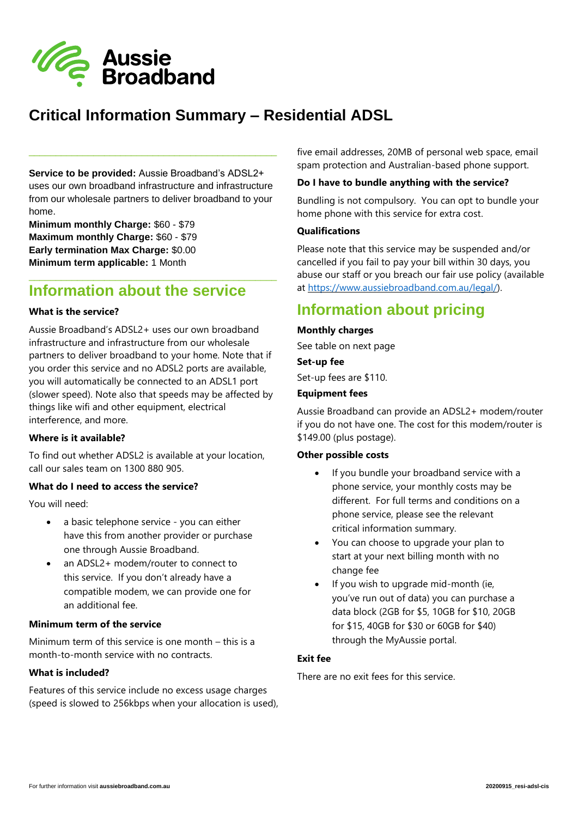

# **Critical Information Summary – Residential ADSL**

**Service to be provided:** Aussie Broadband's ADSL2+ uses our own broadband infrastructure and infrastructure from our wholesale partners to deliver broadband to your home.

\_\_\_\_\_\_\_\_\_\_\_\_\_\_\_\_\_\_\_\_\_\_\_\_\_\_\_\_\_\_\_\_\_\_\_\_\_\_\_\_\_\_\_\_\_\_

**Minimum monthly Charge:** \$60 - \$79 **Maximum monthly Charge:** \$60 - \$79 **Early termination Max Charge:** \$0.00 **Minimum term applicable:** 1 Month

# **Information about the service**

\_\_\_\_\_\_\_\_\_\_\_\_\_\_\_\_\_\_\_\_\_\_\_\_\_\_\_\_\_\_\_\_\_\_\_\_\_\_\_\_\_\_\_\_\_\_

## **What is the service?**

Aussie Broadband's ADSL2+ uses our own broadband infrastructure and infrastructure from our wholesale partners to deliver broadband to your home. Note that if you order this service and no ADSL2 ports are available, you will automatically be connected to an ADSL1 port (slower speed). Note also that speeds may be affected by things like wifi and other equipment, electrical interference, and more.

### **Where is it available?**

To find out whether ADSL2 is available at your location, call our sales team on 1300 880 905.

## **What do I need to access the service?**

You will need:

- a basic telephone service you can either have this from another provider or purchase one through Aussie Broadband.
- an ADSL2+ modem/router to connect to this service. If you don't already have a compatible modem, we can provide one for an additional fee.

## **Minimum term of the service**

Minimum term of this service is one month – this is a month-to-month service with no contracts.

### **What is included?**

Features of this service include no excess usage charges (speed is slowed to 256kbps when your allocation is used), five email addresses, 20MB of personal web space, email spam protection and Australian-based phone support.

### **Do I have to bundle anything with the service?**

Bundling is not compulsory. You can opt to bundle your home phone with this service for extra cost.

## **Qualifications**

Please note that this service may be suspended and/or cancelled if you fail to pay your bill within 30 days, you abuse our staff or you breach our fair use policy (available at [https://www.aussiebroadband.com.au/legal/\)](https://www.aussiebroadband.com.au/legal/).

# **Information about pricing**

## **Monthly charges**

See table on next page

**Set-up fee**

Set-up fees are \$110.

## **Equipment fees**

Aussie Broadband can provide an ADSL2+ modem/router if you do not have one. The cost for this modem/router is \$149.00 (plus postage).

### **Other possible costs**

- If you bundle your broadband service with a phone service, your monthly costs may be different. For full terms and conditions on a phone service, please see the relevant critical information summary.
- You can choose to upgrade your plan to start at your next billing month with no change fee
- If you wish to upgrade mid-month (ie, you've run out of data) you can purchase a data block (2GB for \$5, 10GB for \$10, 20GB for \$15, 40GB for \$30 or 60GB for \$40) through the MyAussie portal.

# **Exit fee**

There are no exit fees for this service.